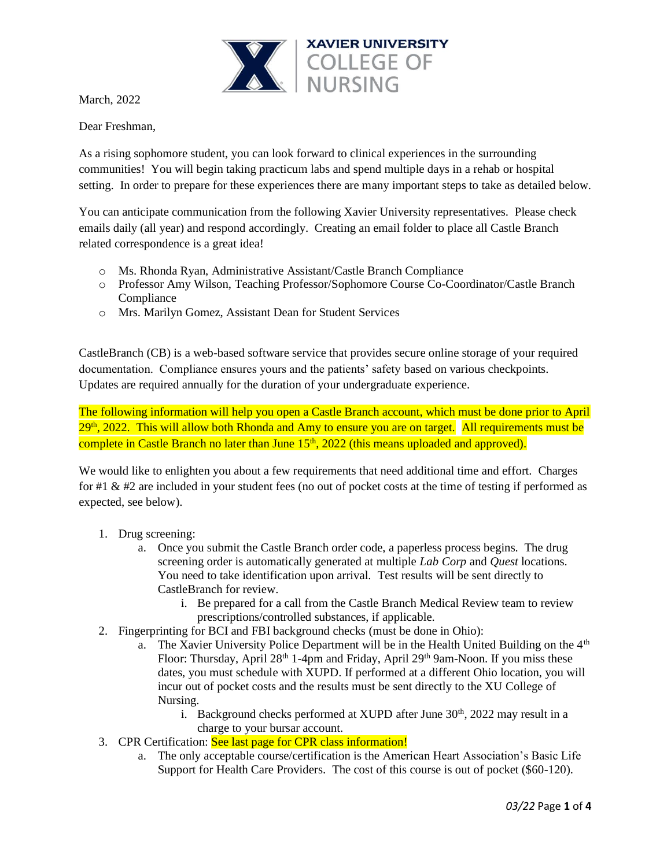

March, 2022

Dear Freshman,

As a rising sophomore student, you can look forward to clinical experiences in the surrounding communities! You will begin taking practicum labs and spend multiple days in a rehab or hospital setting. In order to prepare for these experiences there are many important steps to take as detailed below.

You can anticipate communication from the following Xavier University representatives. Please check emails daily (all year) and respond accordingly. Creating an email folder to place all Castle Branch related correspondence is a great idea!

- o Ms. Rhonda Ryan, Administrative Assistant/Castle Branch Compliance
- o Professor Amy Wilson, Teaching Professor/Sophomore Course Co-Coordinator/Castle Branch **Compliance**
- o Mrs. Marilyn Gomez, Assistant Dean for Student Services

CastleBranch (CB) is a web-based software service that provides secure online storage of your required documentation. Compliance ensures yours and the patients' safety based on various checkpoints. Updates are required annually for the duration of your undergraduate experience.

The following information will help you open a Castle Branch account, which must be done prior to April 29<sup>th</sup>, 2022. This will allow both Rhonda and Amy to ensure you are on target. All requirements must be complete in Castle Branch no later than June  $15<sup>th</sup>$ , 2022 (this means uploaded and approved).

We would like to enlighten you about a few requirements that need additional time and effort. Charges for #1 & #2 are included in your student fees (no out of pocket costs at the time of testing if performed as expected, see below).

- 1. Drug screening:
	- a. Once you submit the Castle Branch order code, a paperless process begins. The drug screening order is automatically generated at multiple *Lab Corp* and *Quest* locations. You need to take identification upon arrival. Test results will be sent directly to CastleBranch for review.
		- i. Be prepared for a call from the Castle Branch Medical Review team to review prescriptions/controlled substances, if applicable.
- 2. Fingerprinting for BCI and FBI background checks (must be done in Ohio):
	- a. The Xavier University Police Department will be in the Health United Building on the  $4<sup>th</sup>$ Floor: Thursday, April 28<sup>th</sup> 1-4pm and Friday, April 29<sup>th</sup> 9am-Noon. If you miss these dates, you must schedule with XUPD. If performed at a different Ohio location, you will incur out of pocket costs and the results must be sent directly to the XU College of Nursing.
		- i. Background checks performed at XUPD after June  $30<sup>th</sup>$ ,  $2022$  may result in a charge to your bursar account.
- 3. CPR Certification: See last page for CPR class information!
	- a. The only acceptable course/certification is the American Heart Association's Basic Life Support for Health Care Providers. The cost of this course is out of pocket (\$60-120).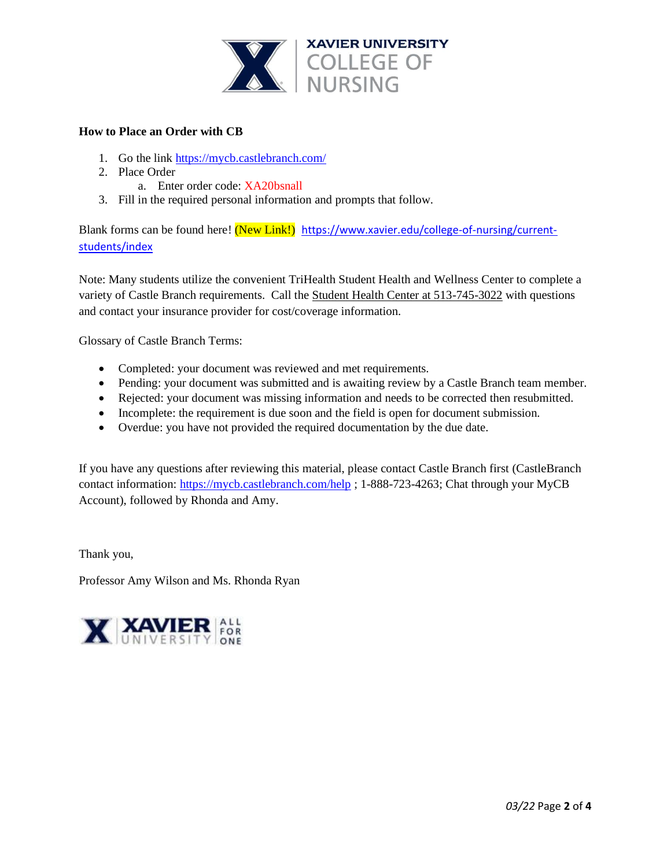

## **How to Place an Order with CB**

- 1. Go the link <https://mycb.castlebranch.com/>
- 2. Place Order
	- a. Enter order code: XA20bsnall
- 3. Fill in the required personal information and prompts that follow.

Blank forms can be found here! (New Link!) [https://www.xavier.edu/college-of-nursing/current](https://www.xavier.edu/college-of-nursing/current-students/index)[students/index](https://www.xavier.edu/college-of-nursing/current-students/index)

Note: Many students utilize the convenient TriHealth Student Health and Wellness Center to complete a variety of Castle Branch requirements. Call the Student Health Center at 513-745-3022 with questions and contact your insurance provider for cost/coverage information.

Glossary of Castle Branch Terms:

- Completed: your document was reviewed and met requirements.
- Pending: your document was submitted and is awaiting review by a Castle Branch team member.
- Rejected: your document was missing information and needs to be corrected then resubmitted.
- Incomplete: the requirement is due soon and the field is open for document submission.
- Overdue: you have not provided the required documentation by the due date.

If you have any questions after reviewing this material, please contact Castle Branch first (CastleBranch contact information: <https://mycb.castlebranch.com/help> ; 1-888-723-4263; Chat through your MyCB Account), followed by Rhonda and Amy.

Thank you,

Professor Amy Wilson and Ms. Rhonda Ryan

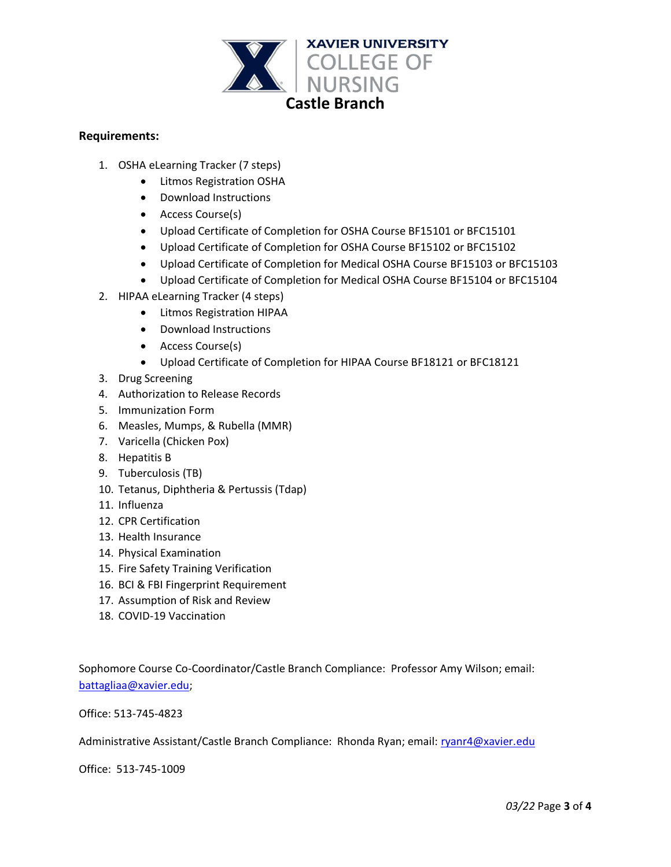

## **Requirements:**

- 1. OSHA eLearning Tracker (7 steps)
	- Litmos Registration OSHA
	- Download Instructions
	- Access Course(s)
	- Upload Certificate of Completion for OSHA Course BF15101 or BFC15101
	- Upload Certificate of Completion for OSHA Course BF15102 or BFC15102
	- Upload Certificate of Completion for Medical OSHA Course BF15103 or BFC15103
	- Upload Certificate of Completion for Medical OSHA Course BF15104 or BFC15104
- 2. HIPAA eLearning Tracker (4 steps)
	- Litmos Registration HIPAA
	- Download Instructions
	- Access Course(s)
	- Upload Certificate of Completion for HIPAA Course BF18121 or BFC18121
- 3. Drug Screening
- 4. Authorization to Release Records
- 5. Immunization Form
- 6. Measles, Mumps, & Rubella (MMR)
- 7. Varicella (Chicken Pox)
- 8. Hepatitis B
- 9. Tuberculosis (TB)
- 10. Tetanus, Diphtheria & Pertussis (Tdap)
- 11. Influenza
- 12. CPR Certification
- 13. Health Insurance
- 14. Physical Examination
- 15. Fire Safety Training Verification
- 16. BCI & FBI Fingerprint Requirement
- 17. Assumption of Risk and Review
- 18. COVID-19 Vaccination

Sophomore Course Co-Coordinator/Castle Branch Compliance: Professor Amy Wilson; email: [battagliaa@xavier.edu;](mailto:battagliaa@xavier.edu)

Office: 513-745-4823

Administrative Assistant/Castle Branch Compliance: Rhonda Ryan; email: [ryanr4@xavier.edu](mailto:ryanr4@xavier.edu)

Office: 513-745-1009